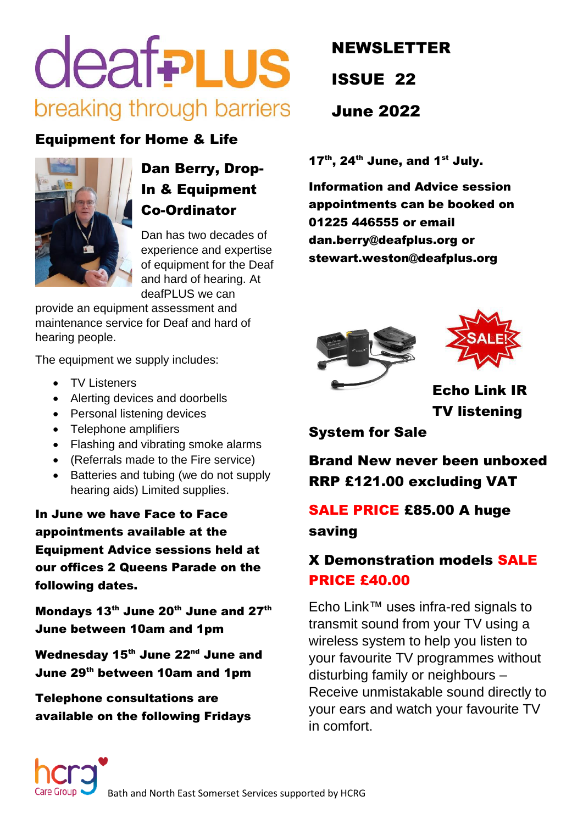# **deafPLUS** breaking through barriers

### Equipment for Home & Life



# Dan Berry, Drop-In & Equipment Co-Ordinator

Dan has two decades of experience and expertise of equipment for the Deaf and hard of hearing. At deafPLUS we can

provide an equipment assessment and maintenance service for Deaf and hard of hearing people.

The equipment we supply includes:

- TV Listeners
- Alerting devices and doorbells
- Personal listening devices
- Telephone amplifiers
- Flashing and vibrating smoke alarms
- (Referrals made to the Fire service)
- Batteries and tubing (we do not supply hearing aids) Limited supplies.

In June we have Face to Face appointments available at the Equipment Advice sessions held at our offices 2 Queens Parade on the following dates.

Mondays 13<sup>th</sup> June 20<sup>th</sup> June and 27<sup>th</sup> June between 10am and 1pm

Wednesday 15<sup>th</sup> June 22<sup>nd</sup> June and June 29th between 10am and 1pm

Telephone consultations are available on the following Fridays

# NEWSLETTER ISSUE 22 June 2022

 $17<sup>th</sup>$ , 24<sup>th</sup> June, and 1<sup>st</sup> July.

Information and Advice session appointments can be booked on 01225 446555 or email [dan.berry@deafplus.org](mailto:dan.berry@deafplus.org) or [stewart.weston@deafplus.org](mailto:stewart.weston@deafplus.org)





Echo Link IR TV listening

System for Sale

Brand New never been unboxed RRP £121.00 excluding VAT

# SALE PRICE £85.00 A huge saving

## X Demonstration models SALE PRICE £40.00

Echo Link™ uses infra-red signals to transmit sound from your TV using a wireless system to help you listen to your favourite TV programmes without disturbing family or neighbours – Receive unmistakable sound directly to your ears and watch your favourite TV in comfort.